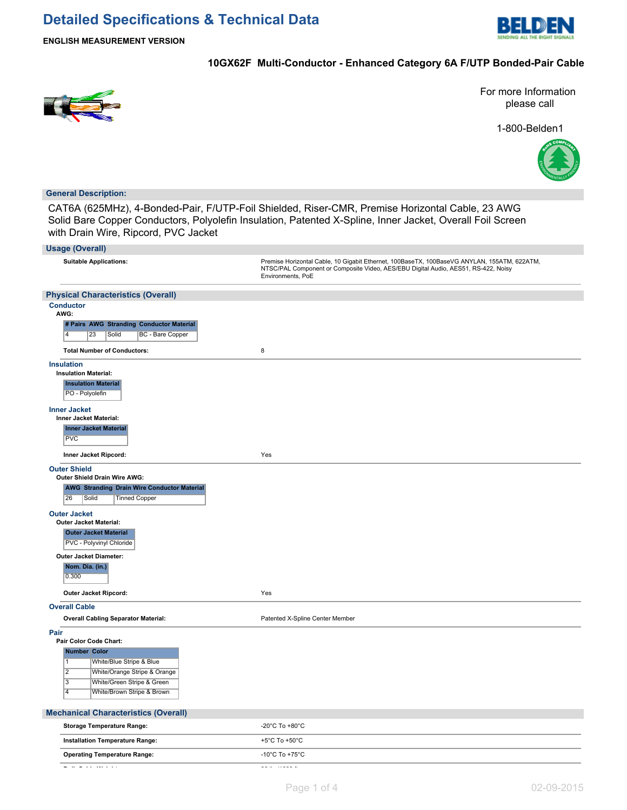

**ENGLISH MEASUREMENT VERSION**

### **10GX62F Multi-Conductor - Enhanced Category 6A F/UTP Bonded-Pair Cable**



For more Information please call

1-800-Belden1



#### **General Description:**

CAT6A (625MHz), 4-Bonded-Pair, F/UTP-Foil Shielded, Riser-CMR, Premise Horizontal Cable, 23 AWG Solid Bare Copper Conductors, Polyolefin Insulation, Patented X-Spline, Inner Jacket, Overall Foil Screen with Drain Wire, Ripcord, PVC Jacket

| <b>Usage (Overall)</b>                                                                                                                                                                                                                                |                                                                                                                                                                                                        |
|-------------------------------------------------------------------------------------------------------------------------------------------------------------------------------------------------------------------------------------------------------|--------------------------------------------------------------------------------------------------------------------------------------------------------------------------------------------------------|
| <b>Suitable Applications:</b>                                                                                                                                                                                                                         | Premise Horizontal Cable, 10 Gigabit Ethernet, 100BaseTX, 100BaseVG ANYLAN, 155ATM, 622ATM,<br>NTSC/PAL Component or Composite Video, AES/EBU Digital Audio, AES51, RS-422, Noisy<br>Environments, PoE |
| <b>Physical Characteristics (Overall)</b>                                                                                                                                                                                                             |                                                                                                                                                                                                        |
| <b>Conductor</b><br>AWG:<br># Pairs AWG Stranding Conductor Material                                                                                                                                                                                  |                                                                                                                                                                                                        |
| $\overline{4}$<br>Solid<br><b>BC</b> - Bare Copper<br>23                                                                                                                                                                                              |                                                                                                                                                                                                        |
| <b>Total Number of Conductors:</b>                                                                                                                                                                                                                    | 8                                                                                                                                                                                                      |
| <b>Insulation</b><br><b>Insulation Material:</b><br><b>Insulation Material</b><br>PO - Polyolefin                                                                                                                                                     |                                                                                                                                                                                                        |
| <b>Inner Jacket</b><br><b>Inner Jacket Material:</b><br><b>Inner Jacket Material</b><br><b>PVC</b>                                                                                                                                                    |                                                                                                                                                                                                        |
| Inner Jacket Ripcord:                                                                                                                                                                                                                                 | Yes                                                                                                                                                                                                    |
| <b>Outer Shield</b><br>Outer Shield Drain Wire AWG:<br><b>AWG Stranding Drain Wire Conductor Material</b><br>26<br>Solid<br><b>Tinned Copper</b>                                                                                                      |                                                                                                                                                                                                        |
| <b>Outer Jacket</b><br><b>Outer Jacket Material:</b><br><b>Outer Jacket Material</b><br>PVC - Polyvinyl Chloride                                                                                                                                      |                                                                                                                                                                                                        |
| Outer Jacket Diameter:<br>Nom. Dia. (in.)<br>0.300                                                                                                                                                                                                    |                                                                                                                                                                                                        |
| Outer Jacket Ripcord:                                                                                                                                                                                                                                 | Yes                                                                                                                                                                                                    |
| <b>Overall Cable</b>                                                                                                                                                                                                                                  |                                                                                                                                                                                                        |
| <b>Overall Cabling Separator Material:</b>                                                                                                                                                                                                            | Patented X-Spline Center Member                                                                                                                                                                        |
| Pair<br>Pair Color Code Chart:<br><b>Number Color</b><br>$\overline{1}$<br>White/Blue Stripe & Blue<br>$\overline{2}$<br>White/Orange Stripe & Orange<br>$\overline{3}$<br>White/Green Stripe & Green<br>$\overline{4}$<br>White/Brown Stripe & Brown |                                                                                                                                                                                                        |
| <b>Mechanical Characteristics (Overall)</b>                                                                                                                                                                                                           |                                                                                                                                                                                                        |
| <b>Storage Temperature Range:</b>                                                                                                                                                                                                                     | -20°C To +80°C                                                                                                                                                                                         |
| Installation Temperature Range:                                                                                                                                                                                                                       | +5°C To +50°C                                                                                                                                                                                          |
| <b>Operating Temperature Range:</b>                                                                                                                                                                                                                   | -10°C To +75°C                                                                                                                                                                                         |
| والمنتقلة والمناط المراط                                                                                                                                                                                                                              | $\omega = \omega$ . The second $\omega$                                                                                                                                                                |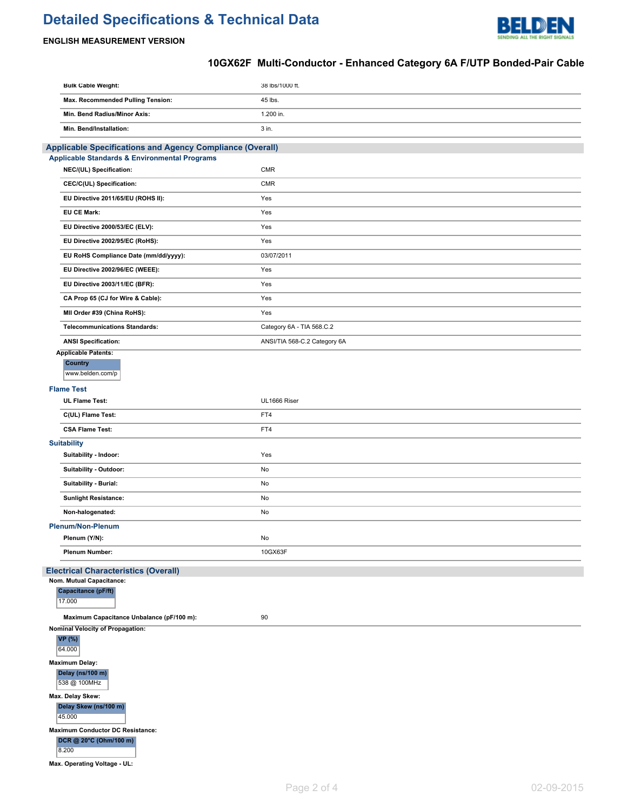

### **ENGLISH MEASUREMENT VERSION**

### **10GX62F Multi-Conductor - Enhanced Category 6A F/UTP Bonded-Pair Cable**

| <b>Bulk Cable Weight:</b>                                               | 38 lbs/1000 ft.              |
|-------------------------------------------------------------------------|------------------------------|
| Max. Recommended Pulling Tension:                                       | 45 lbs.                      |
| Min. Bend Radius/Minor Axis:                                            | 1.200 in.                    |
| Min. Bend/Installation:                                                 | 3 in.                        |
| Applicable Specifications and Agency Compliance (Overall)               |                              |
| Applicable Standards & Environmental Programs                           |                              |
| NEC/(UL) Specification:                                                 | <b>CMR</b>                   |
| CEC/C(UL) Specification:                                                | <b>CMR</b>                   |
| EU Directive 2011/65/EU (ROHS II):                                      | Yes                          |
| <b>EU CE Mark:</b>                                                      | Yes                          |
| EU Directive 2000/53/EC (ELV):                                          | Yes                          |
| EU Directive 2002/95/EC (RoHS):                                         | Yes                          |
| EU RoHS Compliance Date (mm/dd/yyyy):                                   | 03/07/2011                   |
| EU Directive 2002/96/EC (WEEE):                                         | Yes                          |
| EU Directive 2003/11/EC (BFR):                                          | Yes                          |
| CA Prop 65 (CJ for Wire & Cable):                                       | Yes                          |
| MII Order #39 (China RoHS):                                             | Yes                          |
| <b>Telecommunications Standards:</b>                                    | Category 6A - TIA 568.C.2    |
| <b>ANSI Specification:</b>                                              | ANSI/TIA 568-C.2 Category 6A |
| <b>Applicable Patents:</b><br><b>Country</b>                            |                              |
| www.belden.com/p                                                        |                              |
| <b>Flame Test</b>                                                       |                              |
| <b>UL Flame Test:</b>                                                   | UL1666 Riser                 |
| C(UL) Flame Test:                                                       | FT4                          |
| <b>CSA Flame Test:</b>                                                  | FT4                          |
| <b>Suitability</b>                                                      |                              |
| Suitability - Indoor:                                                   | Yes                          |
| Suitability - Outdoor:                                                  | No                           |
| Suitability - Burial:                                                   | No                           |
| <b>Sunlight Resistance:</b>                                             | No                           |
| Non-halogenated:                                                        | No                           |
| <b>Plenum/Non-Plenum</b><br>Plenum (Y/N):                               | No                           |
| <b>Plenum Number:</b>                                                   | 10GX63F                      |
|                                                                         |                              |
| <b>Electrical Characteristics (Overall)</b><br>Nom. Mutual Capacitance: |                              |
| Capacitance (pF/ft)                                                     |                              |
| 17.000                                                                  |                              |
| Maximum Capacitance Unbalance (pF/100 m):                               | 90                           |
| <b>Nominal Velocity of Propagation:</b><br><b>VP</b> (%)                |                              |
| 64.000                                                                  |                              |
| <b>Maximum Delay:</b>                                                   |                              |
| Delay (ns/100 m)                                                        |                              |
| 538 @ 100MHz<br>Max. Delay Skew:                                        |                              |
| Delay Skew (ns/100 m)                                                   |                              |
| 45.000                                                                  |                              |
| <b>Maximum Conductor DC Resistance:</b>                                 |                              |
| DCR @ 20°C (Ohm/100 m)<br>8.200                                         |                              |
| Max. Operating Voltage - UL:                                            |                              |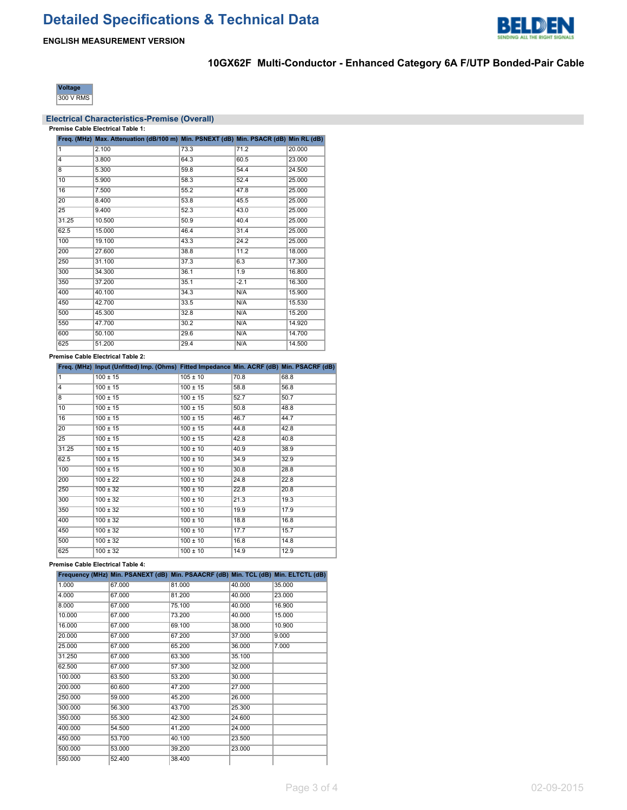

**ENGLISH MEASUREMENT VERSION**

### **10GX62F Multi-Conductor - Enhanced Category 6A F/UTP Bonded-Pair Cable**



## **Electrical Characteristics-Premise (Overall)**

|       | Freq. (MHz) Max. Attenuation (dB/100 m) Min. PSNEXT (dB) Min. PSACR (dB) Min RL (dB) |      |        |        |
|-------|--------------------------------------------------------------------------------------|------|--------|--------|
| 1     | 2.100                                                                                | 73.3 | 71.2   | 20.000 |
| 4     | 3.800                                                                                | 64.3 | 60.5   | 23.000 |
| 8     | 5.300                                                                                | 59.8 | 54.4   | 24.500 |
| 10    | 5.900                                                                                | 58.3 | 52.4   | 25.000 |
| 16    | 7.500                                                                                | 55.2 | 47.8   | 25.000 |
| 20    | 8.400                                                                                | 53.8 | 45.5   | 25.000 |
| 25    | 9.400                                                                                | 52.3 | 43.0   | 25.000 |
| 31.25 | 10.500                                                                               | 50.9 | 40.4   | 25.000 |
| 62.5  | 15.000                                                                               | 46.4 | 31.4   | 25.000 |
| 100   | 19.100                                                                               | 43.3 | 24.2   | 25.000 |
| 200   | 27.600                                                                               | 38.8 | 11.2   | 18.000 |
| 250   | 31.100                                                                               | 37.3 | 6.3    | 17.300 |
| 300   | 34.300                                                                               | 36.1 | 1.9    | 16.800 |
| 350   | 37.200                                                                               | 35.1 | $-2.1$ | 16.300 |
| 400   | 40.100                                                                               | 34.3 | N/A    | 15.900 |
| 450   | 42.700                                                                               | 33.5 | N/A    | 15.530 |
| 500   | 45.300                                                                               | 32.8 | N/A    | 15.200 |
| 550   | 47.700                                                                               | 30.2 | N/A    | 14.920 |
| 600   | 50.100                                                                               | 29.6 | N/A    | 14.700 |
| 625   | 51.200                                                                               | 29.4 | N/A    | 14.500 |

#### **Premise Cable Electrical Table 2:**

|                 | Freq. (MHz) Input (Unfitted) Imp. (Ohms) Fitted Impedance Min. ACRF (dB) Min. PSACRF (dB) |              |      |      |
|-----------------|-------------------------------------------------------------------------------------------|--------------|------|------|
| 1               | $100 \pm 15$                                                                              | $105 \pm 10$ | 70.8 | 68.8 |
| 4               | $100 \pm 15$                                                                              | $100 \pm 15$ | 58.8 | 56.8 |
| 8               | $100 \pm 15$                                                                              | $100 \pm 15$ | 52.7 | 50.7 |
| 10              | $100 \pm 15$                                                                              | $100 \pm 15$ | 50.8 | 48.8 |
| $\overline{16}$ | $100 \pm 15$                                                                              | $100 \pm 15$ | 46.7 | 44.7 |
| 20              | $100 \pm 15$                                                                              | $100 \pm 15$ | 44.8 | 42.8 |
| 25              | $100 \pm 15$                                                                              | $100 \pm 15$ | 42.8 | 40.8 |
| 31.25           | $100 \pm 15$                                                                              | $100 \pm 10$ | 40.9 | 38.9 |
| 62.5            | $100 \pm 15$                                                                              | $100 \pm 10$ | 34.9 | 32.9 |
| 100             | $100 \pm 15$                                                                              | $100 \pm 10$ | 30.8 | 28.8 |
| 200             | $100 \pm 22$                                                                              | $100 \pm 10$ | 24.8 | 22.8 |
| 250             | $100 \pm 32$                                                                              | $100 \pm 10$ | 22.8 | 20.8 |
| 300             | $100 \pm 32$                                                                              | $100 \pm 10$ | 21.3 | 19.3 |
| 350             | $100 \pm 32$                                                                              | $100 \pm 10$ | 19.9 | 17.9 |
| 400             | $100 \pm 32$                                                                              | $100 \pm 10$ | 18.8 | 16.8 |
| 450             | $100 \pm 32$                                                                              | $100 \pm 10$ | 17.7 | 15.7 |
| 500             | $100 \pm 32$                                                                              | $100 \pm 10$ | 16.8 | 14.8 |
| 625             | $100 \pm 32$                                                                              | $100 \pm 10$ | 14.9 | 12.9 |

#### **Premise Cable Electrical Table 4:**

|         | Frequency (MHz) Min. PSANEXT (dB) Min. PSAACRF (dB) Min. TCL (dB) Min. ELTCTL (dB) |        |        |        |
|---------|------------------------------------------------------------------------------------|--------|--------|--------|
| 1.000   | 67.000                                                                             | 81.000 | 40.000 | 35.000 |
| 4.000   | 67.000                                                                             | 81.200 | 40.000 | 23.000 |
| 8.000   | 67.000                                                                             | 75.100 | 40.000 | 16.900 |
| 10.000  | 67.000                                                                             | 73.200 | 40.000 | 15.000 |
| 16.000  | 67.000                                                                             | 69.100 | 38.000 | 10.900 |
| 20.000  | 67.000                                                                             | 67.200 | 37.000 | 9.000  |
| 25.000  | 67.000                                                                             | 65.200 | 36.000 | 7.000  |
| 31.250  | 67.000                                                                             | 63.300 | 35.100 |        |
| 62.500  | 67.000                                                                             | 57.300 | 32.000 |        |
| 100.000 | 63.500                                                                             | 53.200 | 30.000 |        |
| 200.000 | 60.600                                                                             | 47.200 | 27.000 |        |
| 250.000 | 59,000                                                                             | 45.200 | 26.000 |        |
| 300.000 | 56.300                                                                             | 43.700 | 25.300 |        |
| 350.000 | 55.300                                                                             | 42.300 | 24.600 |        |
| 400.000 | 54.500                                                                             | 41.200 | 24.000 |        |
| 450.000 | 53.700                                                                             | 40.100 | 23.500 |        |
| 500.000 | 53.000                                                                             | 39.200 | 23.000 |        |
| 550.000 | 52.400                                                                             | 38.400 |        |        |